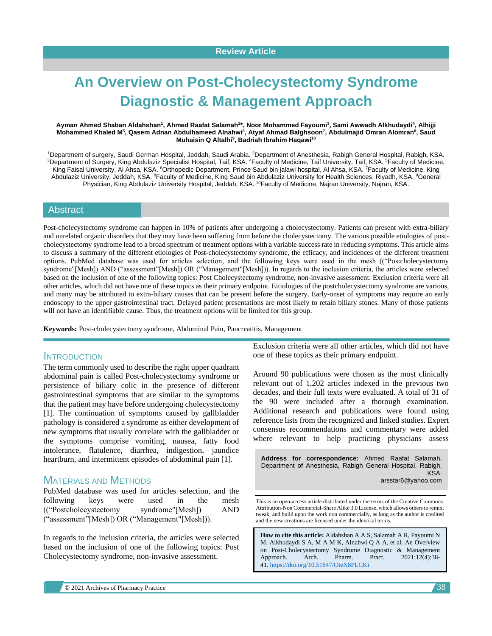# **An Overview on Post-Cholecystectomy Syndrome Diagnostic & Management Approach**

#### **Ayman Ahmed Shaban Aldahshan<sup>1</sup> , Ahmed Raafat Salamah<sup>2</sup> \*, Noor Mohammed Fayoumi<sup>3</sup> , Sami Awwadh Alkhudaydi<sup>4</sup> , Alhijji Mohammed Khaled M<sup>5</sup> , Qasem Adnan Abdulhameed Alnahwi<sup>6</sup> , Atyaf Ahmad Balghsoon<sup>7</sup> , Abdulmajid Omran Alomran<sup>8</sup> , Saud Muhaisin Q Altalhi<sup>9</sup> , Badriah Ibrahim Haqawi<sup>10</sup>**

1Department of surgery, Saudi German Hospital, Jeddah, Saudi Arabia. <sup>2</sup>Department of Anesthesia, Rabigh General Hospital, Rabigh, KSA. <sup>3</sup>Department of Surgery, King Abdulaziz Specialist Hospital, Taif, KSA. <sup>4</sup>Faculty of Medicine, Taif University, Taif, KSA. <sup>5</sup>Faculty of Medicine, King Faisal University, Al Ahsa, KSA. <sup>6</sup>Orthopedic Department, Prince Saud bin jalawi hospital, Al Ahsa, KSA. <sup>7</sup>Faculty of Medicine, King Abdulaziz University, Jeddah, KSA. <sup>8</sup>Faculty of Medicine, King Saud bin Abdulaziz University for Health Sciences, Riyadh, KSA. <sup>9</sup>General Physician, King Abdulaziz University Hospital, Jeddah, KSA. <sup>10</sup>Faculty of Medicine, Najran University, Najran, KSA.

#### Abstract

Post-cholecystectomy syndrome can happen in 10% of patients after undergoing a cholecystectomy. Patients can present with extra-biliary and unrelated organic disorders that they may have been suffering from before the cholecystectomy. The various possible etiologies of postcholecystectomy syndrome lead to a broad spectrum of treatment options with a variable success rate in reducing symptoms. This article aims to discuss a summary of the different etiologies of Post-cholecystectomy syndrome, the efficacy, and incidences of the different treatment options. PubMed database was used for articles selection, and the following keys were used in the mesh (("Postcholecystectomy syndrome"[Mesh]) AND ("assessment"[Mesh]) OR ("Management"[Mesh])). In regards to the inclusion criteria, the articles were selected based on the inclusion of one of the following topics: Post Cholecystectomy syndrome, non-invasive assessment. Exclusion criteria were all other articles, which did not have one of these topics as their primary endpoint. Eitiologies of the postcholecystectomy syndrome are various, and many may be attributed to extra-biliary causes that can be present before the surgery. Early-onset of symptoms may require an early endoscopy to the upper gastrointestinal tract. Delayed patient presentations are most likely to retain biliary stones. Many of those patients will not have an identifiable cause. Thus, the treatment options will be limited for this group.

**Keywords:** Post-cholecystectomy syndrome, Abdominal Pain, Pancreatitis, Management

#### **INTRODUCTION**

The term commonly used to describe the right upper quadrant abdominal pain is called Post-cholecystectomy syndrome or persistence of biliary colic in the presence of different gastrointestinal symptoms that are similar to the symptoms that the patient may have before undergoing cholecystectomy [1]. The continuation of symptoms caused by gallbladder pathology is considered a syndrome as either development of new symptoms that usually correlate with the gallbladder or the symptoms comprise vomiting, nausea, fatty food intolerance, flatulence, diarrhea, indigestion, jaundice heartburn, and intermittent episodes of abdominal pain [1].

# MATERIALS AND METHODS

PubMed database was used for articles selection, and the following keys were used in the mesh (("Postcholecystectomy syndrome"[Mesh]) AND ("assessment"[Mesh]) OR ("Management"[Mesh])).

In regards to the inclusion criteria, the articles were selected based on the inclusion of one of the following topics: Post Cholecystectomy syndrome, non-invasive assessment.

Exclusion criteria were all other articles, which did not have one of these topics as their primary endpoint.

Around 90 publications were chosen as the most clinically relevant out of 1,202 articles indexed in the previous two decades, and their full texts were evaluated. A total of 31 of the 90 were included after a thorough examination. Additional research and publications were found using reference lists from the recognized and linked studies. Expert consensus recommendations and commentary were added where relevant to help practicing physicians assess

**Address for correspondence:** Ahmed Raafat Salamah, Department of Anesthesia, Rabigh General Hospital, Rabigh, KSA. arsstar6@yahoo.com

This is an open-access article distributed under the terms of the Creative Commons Attribution-Non Commercial-Share Alike 3.0 License, which allows others to remix, tweak, and build upon the work non commercially, as long as the author is credited and the new creations are licensed under the identical terms.

**How to cite this article:** Aldahshan A A S, Salamah A R, Fayoumi N M, Alkhudaydi S A, M A M K, Alnahwi Q A A, et al. An Overview on Post-Cholecystectomy Syndrome Diagnostic & Management Approach. Arch. Pharm. Pract. 2021;12(4):38- 41. <https://doi.org/10.51847/OteX8PLCKi>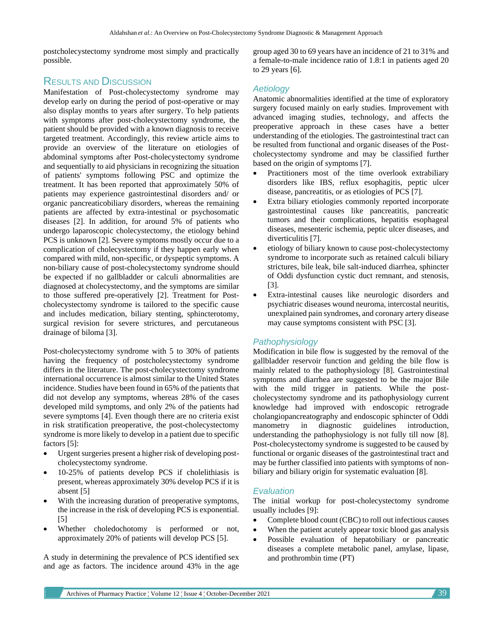postcholecystectomy syndrome most simply and practically possible.

# RESULTS AND DISCUSSION

Manifestation of Post-cholecystectomy syndrome may develop early on during the period of post-operative or may also display months to years after surgery. To help patients with symptoms after post-cholecystectomy syndrome, the patient should be provided with a known diagnosis to receive targeted treatment. Accordingly, this review article aims to provide an overview of the literature on etiologies of abdominal symptoms after Post-cholecystectomy syndrome and sequentially to aid physicians in recognizing the situation of patients' symptoms following PSC and optimize the treatment. It has been reported that approximately 50% of patients may experience gastrointestinal disorders and/ or organic pancreaticobiliary disorders, whereas the remaining patients are affected by extra-intestinal or psychosomatic diseases [2]. In addition, for around 5% of patients who undergo laparoscopic cholecystectomy, the etiology behind PCS is unknown [2]. Severe symptoms mostly occur due to a complication of cholecystectomy if they happen early when compared with mild, non-specific, or dyspeptic symptoms. A non-biliary cause of post-cholecystectomy syndrome should be expected if no gallbladder or calculi abnormalities are diagnosed at cholecystectomy, and the symptoms are similar to those suffered pre-operatively [2]. Treatment for Postcholecystectomy syndrome is tailored to the specific cause and includes medication, biliary stenting, sphincterotomy, surgical revision for severe strictures, and percutaneous drainage of biloma [3].

Post-cholecystectomy syndrome with 5 to 30% of patients having the frequency of postcholecystectomy syndrome differs in the literature. The post-cholecystectomy syndrome international occurrence is almost similar to the United States incidence. Studies have been found in 65% of the patients that did not develop any symptoms, whereas 28% of the cases developed mild symptoms, and only 2% of the patients had severe symptoms [4]. Even though there are no criteria exist in risk stratification preoperative, the post-cholecystectomy syndrome is more likely to develop in a patient due to specific factors [5]:

- Urgent surgeries present a higher risk of developing postcholecystectomy syndrome.
- 10-25% of patients develop PCS if cholelithiasis is present, whereas approximately 30% develop PCS if it is absent [5]
- With the increasing duration of preoperative symptoms, the increase in the risk of developing PCS is exponential. [5]
- Whether choledochotomy is performed or not, approximately 20% of patients will develop PCS [5].

A study in determining the prevalence of PCS identified sex and age as factors. The incidence around 43% in the age

group aged 30 to 69 years have an incidence of 21 to 31% and a female-to-male incidence ratio of 1.8:1 in patients aged 20 to 29 years [6].

#### *Aetiology*

Anatomic abnormalities identified at the time of exploratory surgery focused mainly on early studies. Improvement with advanced imaging studies, technology, and affects the preoperative approach in these cases have a better understanding of the etiologies. The gastrointestinal tract can be resulted from functional and organic diseases of the Postcholecystectomy syndrome and may be classified further based on the origin of symptoms [7].

- Practitioners most of the time overlook extrabiliary disorders like IBS, reflux esophagitis, peptic ulcer disease, pancreatitis, or as etiologies of PCS [7].
- Extra biliary etiologies commonly reported incorporate gastrointestinal causes like pancreatitis, pancreatic tumors and their complications, hepatitis esophageal diseases, mesenteric ischemia, peptic ulcer diseases, and diverticulitis [7].
- etiology of biliary known to cause post-cholecystectomy syndrome to incorporate such as retained calculi biliary strictures, bile leak, bile salt-induced diarrhea, sphincter of Oddi dysfunction cystic duct remnant, and stenosis, [3].
- Extra-intestinal causes like neurologic disorders and psychiatric diseases wound neuroma, intercostal neuritis, unexplained pain syndromes, and coronary artery disease may cause symptoms consistent with PSC [3].

### *Pathophysiology*

Modification in bile flow is suggested by the removal of the gallbladder reservoir function and gelding the bile flow is mainly related to the pathophysiology [8]. Gastrointestinal symptoms and diarrhea are suggested to be the major Bile with the mild trigger in patients. While the postcholecystectomy syndrome and its pathophysiology current knowledge had improved with endoscopic retrograde cholangiopancreatography and endoscopic sphincter of Oddi manometry in diagnostic guidelines introduction, understanding the pathophysiology is not fully till now [8]. Post-cholecystectomy syndrome is suggested to be caused by functional or organic diseases of the gastrointestinal tract and may be further classified into patients with symptoms of nonbiliary and biliary origin for systematic evaluation [8].

#### *Evaluation*

The initial workup for post-cholecystectomy syndrome usually includes [9]:

- Complete blood count (CBC) to roll out infectious causes
- When the patient acutely appear toxic blood gas analysis
- Possible evaluation of hepatobiliary or pancreatic diseases a complete metabolic panel, amylase, lipase, and prothrombin time (PT)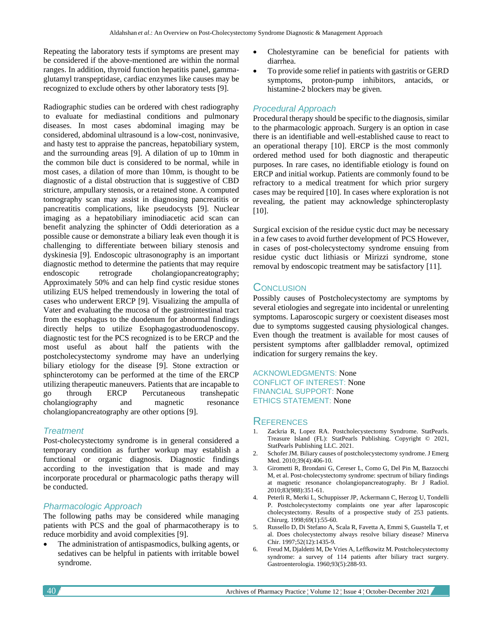Repeating the laboratory tests if symptoms are present may be considered if the above-mentioned are within the normal ranges. In addition, thyroid function hepatitis panel, gammaglutamyl transpeptidase, cardiac enzymes like causes may be recognized to exclude others by other laboratory tests [9].

Radiographic studies can be ordered with chest radiography to evaluate for mediastinal conditions and pulmonary diseases. In most cases abdominal imaging may be considered, abdominal ultrasound is a low-cost, noninvasive, and hasty test to appraise the pancreas, hepatobiliary system, and the surrounding areas [9]. A dilation of up to 10mm in the common bile duct is considered to be normal, while in most cases, a dilation of more than 10mm, is thought to be diagnostic of a distal obstruction that is suggestive of CBD stricture, ampullary stenosis, or a retained stone. A computed tomography scan may assist in diagnosing pancreatitis or pancreatitis complications, like pseudocysts [9]. Nuclear imaging as a hepatobiliary iminodiacetic acid scan can benefit analyzing the sphincter of Oddi deterioration as a possible cause or demonstrate a biliary leak even though it is challenging to differentiate between biliary stenosis and dyskinesia [9]. Endoscopic ultrasonography is an important diagnostic method to determine the patients that may require endoscopic retrograde cholangiopancreatography; Approximately 50% and can help find cystic residue stones utilizing EUS helped tremendously in lowering the total of cases who underwent ERCP [9]. Visualizing the ampulla of Vater and evaluating the mucosa of the gastrointestinal tract from the esophagus to the duodenum for abnormal findings directly helps to utilize Esophagogastroduodenoscopy. diagnostic test for the PCS recognized is to be ERCP and the most useful as about half the patients with the postcholecystectomy syndrome may have an underlying biliary etiology for the disease [9]. Stone extraction or sphincterotomy can be performed at the time of the ERCP utilizing therapeutic maneuvers. Patients that are incapable to go through ERCP Percutaneous transhepatic cholangiography and magnetic resonance cholangiopancreatography are other options [9].

### *Treatment*

Post-cholecystectomy syndrome is in general considered a temporary condition as further workup may establish a functional or organic diagnosis. Diagnostic findings according to the investigation that is made and may incorporate procedural or pharmacologic paths therapy will be conducted.

#### *Pharmacologic Approach*

The following paths may be considered while managing patients with PCS and the goal of pharmacotherapy is to reduce morbidity and avoid complexities [9].

• The administration of antispasmodics, bulking agents, or sedatives can be helpful in patients with irritable bowel syndrome.

- Cholestyramine can be beneficial for patients with diarrhea.
- To provide some relief in patients with gastritis or GERD symptoms, proton-pump inhibitors, antacids, or histamine-2 blockers may be given.

#### *Procedural Approach*

Procedural therapy should be specific to the diagnosis, similar to the pharmacologic approach. Surgery is an option in case there is an identifiable and well-established cause to react to an operational therapy [10]. ERCP is the most commonly ordered method used for both diagnostic and therapeutic purposes. In rare cases, no identifiable etiology is found on ERCP and initial workup. Patients are commonly found to be refractory to a medical treatment for which prior surgery cases may be required [10]. In cases where exploration is not revealing, the patient may acknowledge sphincteroplasty [10].

Surgical excision of the residue cystic duct may be necessary in a few cases to avoid further development of PCS However, in cases of post-cholecystectomy syndrome ensuing from residue cystic duct lithiasis or Mirizzi syndrome, stone removal by endoscopic treatment may be satisfactory [11].

# **CONCLUSION**

Possibly causes of Postcholecystectomy are symptoms by several etiologies and segregate into incidental or unrelenting symptoms. Laparoscopic surgery or coexistent diseases most due to symptoms suggested causing physiological changes. Even though the treatment is available for most causes of persistent symptoms after gallbladder removal, optimized indication for surgery remains the key.

ACKNOWLEDGMENTS: None CONFLICT OF INTEREST: None FINANCIAL SUPPORT: None ETHICS STATEMENT: None

### **REFERENCES**

- 1. Zackria R, Lopez RA. Postcholecystectomy Syndrome. StatPearls. Treasure Island (FL): StatPearls Publishing. Copyright © 2021, StatPearls Publishing LLC. 2021.
- 2. Schofer JM. Biliary causes of postcholecystectomy syndrome. J Emerg Med. 2010;39(4):406-10.
- 3. Girometti R, Brondani G, Cereser L, Como G, Del Pin M, Bazzocchi M, et al. Post-cholecystectomy syndrome: spectrum of biliary findings at magnetic resonance cholangiopancreatography. Br J Radiol. 2010;83(988):351-61.
- 4. Peterli R, Merki L, Schuppisser JP, Ackermann C, Herzog U, Tondelli P. Postcholecystectomy complaints one year after laparoscopic cholecystectomy. Results of a prospective study of 253 patients. Chirurg. 1998;69(1):55-60.
- 5. Russello D, Di Stefano A, Scala R, Favetta A, Emmi S, Guastella T, et al. Does cholecystectomy always resolve biliary disease? Minerva Chir. 1997;52(12):1435-9.
- 6. Freud M, Djaldetti M, De Vries A, Leffkowitz M. Postcholecystectomy syndrome: a survey of 114 patients after biliary tract surgery. Gastroenterologia. 1960;93(5):288-93.